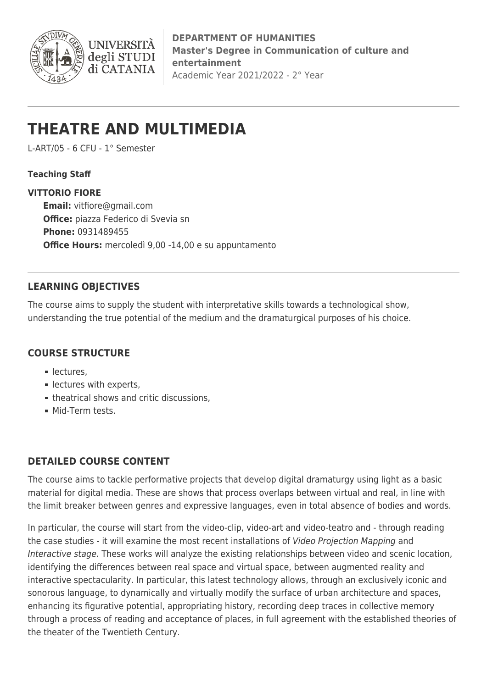

**DEPARTMENT OF HUMANITIES Master's Degree in Communication of culture and entertainment** Academic Year 2021/2022 - 2° Year

# **THEATRE AND MULTIMEDIA**

L-ART/05 - 6 CFU - 1° Semester

**INIVERS** 

degli STUDI di CATANIA

### **Teaching Staff**

#### **VITTORIO FIORE**

**Email:** [vitfiore@gmail.com](mailto:vitfiore@gmail.com) **Office:** piazza Federico di Svevia sn **Phone:** 0931489455 **Office Hours:** mercoledì 9,00 -14,00 e su appuntamento

## **LEARNING OBJECTIVES**

The course aims to supply the student with interpretative skills towards a technological show, understanding the true potential of the medium and the dramaturgical purposes of his choice.

#### **COURSE STRUCTURE**

- **lectures.**
- **Experts**.
- theatrical shows and critic discussions,
- **Mid-Term tests.**

## **DETAILED COURSE CONTENT**

The course aims to tackle performative projects that develop digital dramaturgy using light as a basic material for digital media. These are shows that process overlaps between virtual and real, in line with the limit breaker between genres and expressive languages, even in total absence of bodies and words.

In particular, the course will start from the video-clip, video-art and video-teatro and - through reading the case studies - it will examine the most recent installations of Video Projection Mapping and Interactive stage. These works will analyze the existing relationships between video and scenic location, identifying the differences between real space and virtual space, between augmented reality and interactive spectacularity. In particular, this latest technology allows, through an exclusively iconic and sonorous language, to dynamically and virtually modify the surface of urban architecture and spaces, enhancing its figurative potential, appropriating history, recording deep traces in collective memory through a process of reading and acceptance of places, in full agreement with the established theories of the theater of the Twentieth Century.